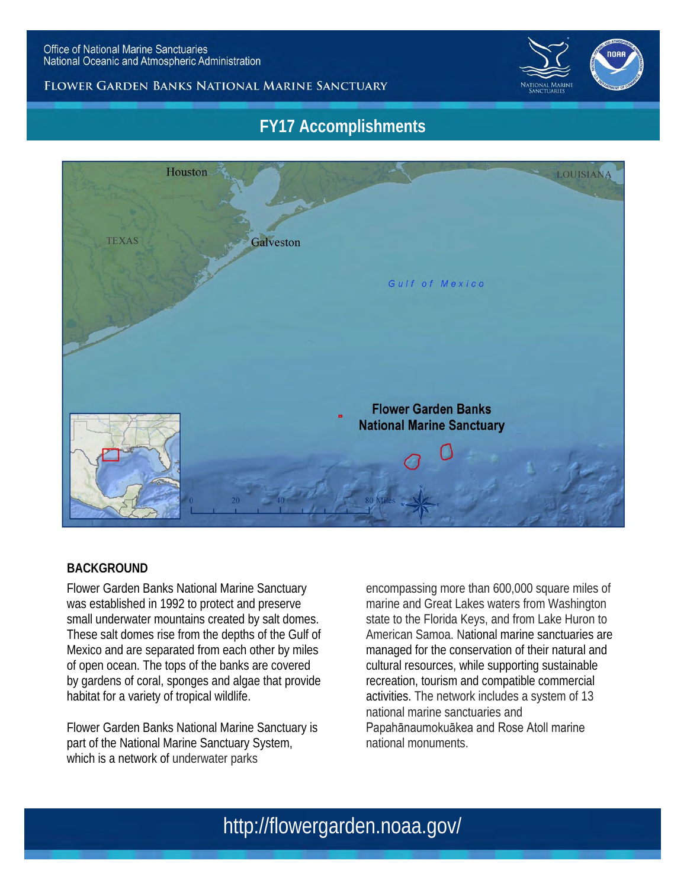

#### FLOWER GARDEN BANKS NATIONAL MARINE SANCTUARY

### **FY17 Accomplishments**



#### **BACKGROUND**

Flower Garden Banks National Marine Sanctuary was established in 1992 to protect and preserve small underwater mountains created by salt domes. These salt domes rise from the depths of the Gulf of Mexico and are separated from each other by miles of open ocean. The tops of the banks are covered by gardens of coral, sponges and algae that provide habitat for a variety of tropical wildlife.

Flower Garden Banks National Marine Sanctuary is part of the National Marine Sanctuary System, which is a network of underwater parks

encompassing more than 600,000 square miles of marine and Great Lakes waters from Washington state to the Florida Keys, and from Lake Huron to American Samoa. National marine sanctuaries are managed for the conservation of their natural and cultural resources, while supporting sustainable recreation, tourism and compatible commercial activities. The network includes a system of 13 national marine sanctuaries and Papahānaumokuākea and Rose Atoll marine national monuments.

## http://flowergarden.noaa.gov/